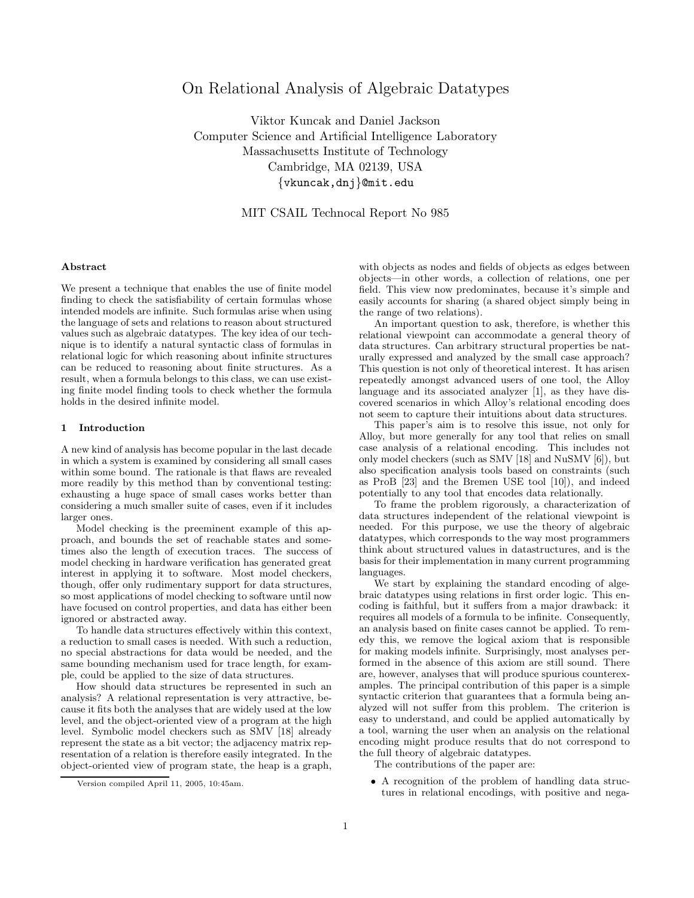# On Relational Analysis of Algebraic Datatypes

Viktor Kuncak and Daniel Jackson Computer Science and Artificial Intelligence Laboratory Massachusetts Institute of Technology Cambridge, MA 02139, USA {vkuncak,dnj}@mit.edu

MIT CSAIL Technocal Report No 985

### Abstract

We present a technique that enables the use of finite model finding to check the satisfiability of certain formulas whose intended models are infinite. Such formulas arise when using the language of sets and relations to reason about structured values such as algebraic datatypes. The key idea of our technique is to identify a natural syntactic class of formulas in relational logic for which reasoning about infinite structures can be reduced to reasoning about finite structures. As a result, when a formula belongs to this class, we can use existing finite model finding tools to check whether the formula holds in the desired infinite model.

#### 1 Introduction

A new kind of analysis has become popular in the last decade in which a system is examined by considering all small cases within some bound. The rationale is that flaws are revealed more readily by this method than by conventional testing: exhausting a huge space of small cases works better than considering a much smaller suite of cases, even if it includes larger ones.

Model checking is the preeminent example of this approach, and bounds the set of reachable states and sometimes also the length of execution traces. The success of model checking in hardware verification has generated great interest in applying it to software. Most model checkers, though, offer only rudimentary support for data structures, so most applications of model checking to software until now have focused on control properties, and data has either been ignored or abstracted away.

To handle data structures effectively within this context, a reduction to small cases is needed. With such a reduction, no special abstractions for data would be needed, and the same bounding mechanism used for trace length, for example, could be applied to the size of data structures.

How should data structures be represented in such an analysis? A relational representation is very attractive, because it fits both the analyses that are widely used at the low level, and the object-oriented view of a program at the high level. Symbolic model checkers such as SMV [18] already represent the state as a bit vector; the adjacency matrix representation of a relation is therefore easily integrated. In the object-oriented view of program state, the heap is a graph,

with objects as nodes and fields of objects as edges between objects—in other words, a collection of relations, one per field. This view now predominates, because it's simple and easily accounts for sharing (a shared object simply being in the range of two relations).

An important question to ask, therefore, is whether this relational viewpoint can accommodate a general theory of data structures. Can arbitrary structural properties be naturally expressed and analyzed by the small case approach? This question is not only of theoretical interest. It has arisen repeatedly amongst advanced users of one tool, the Alloy language and its associated analyzer [1], as they have discovered scenarios in which Alloy's relational encoding does not seem to capture their intuitions about data structures.

This paper's aim is to resolve this issue, not only for Alloy, but more generally for any tool that relies on small case analysis of a relational encoding. This includes not only model checkers (such as SMV [18] and NuSMV [6]), but also specification analysis tools based on constraints (such as ProB [23] and the Bremen USE tool [10]), and indeed potentially to any tool that encodes data relationally.

To frame the problem rigorously, a characterization of data structures independent of the relational viewpoint is needed. For this purpose, we use the theory of algebraic datatypes, which corresponds to the way most programmers think about structured values in datastructures, and is the basis for their implementation in many current programming languages.

We start by explaining the standard encoding of algebraic datatypes using relations in first order logic. This encoding is faithful, but it suffers from a major drawback: it requires all models of a formula to be infinite. Consequently, an analysis based on finite cases cannot be applied. To remedy this, we remove the logical axiom that is responsible for making models infinite. Surprisingly, most analyses performed in the absence of this axiom are still sound. There are, however, analyses that will produce spurious counterexamples. The principal contribution of this paper is a simple syntactic criterion that guarantees that a formula being analyzed will not suffer from this problem. The criterion is easy to understand, and could be applied automatically by a tool, warning the user when an analysis on the relational encoding might produce results that do not correspond to the full theory of algebraic datatypes.

The contributions of the paper are:

• A recognition of the problem of handling data structures in relational encodings, with positive and nega-

Version compiled April 11, 2005, 10:45am.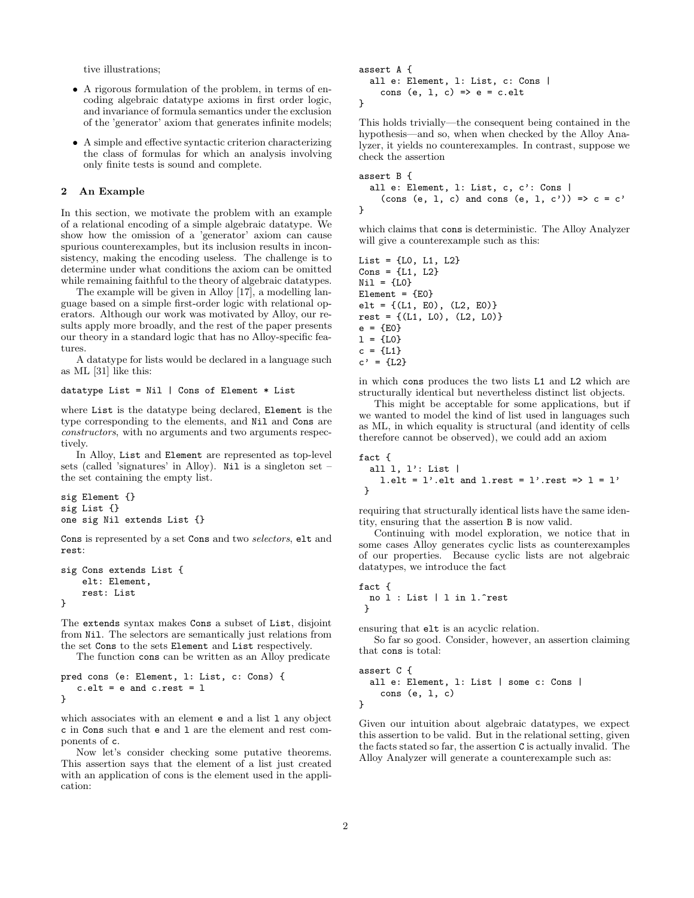tive illustrations;

- A rigorous formulation of the problem, in terms of encoding algebraic datatype axioms in first order logic, and invariance of formula semantics under the exclusion of the 'generator' axiom that generates infinite models;
- A simple and effective syntactic criterion characterizing the class of formulas for which an analysis involving only finite tests is sound and complete.

### 2 An Example

In this section, we motivate the problem with an example of a relational encoding of a simple algebraic datatype. We show how the omission of a 'generator' axiom can cause spurious counterexamples, but its inclusion results in inconsistency, making the encoding useless. The challenge is to determine under what conditions the axiom can be omitted while remaining faithful to the theory of algebraic datatypes.

The example will be given in Alloy [17], a modelling language based on a simple first-order logic with relational operators. Although our work was motivated by Alloy, our results apply more broadly, and the rest of the paper presents our theory in a standard logic that has no Alloy-specific features.

A datatype for lists would be declared in a language such as ML [31] like this:

```
datatype List = Nil | Cons of Element * List
```
where List is the datatype being declared, Element is the type corresponding to the elements, and Nil and Cons are constructors, with no arguments and two arguments respectively.

In Alloy, List and Element are represented as top-level sets (called 'signatures' in Alloy). Nil is a singleton set – the set containing the empty list.

```
sig Element {}
sig List {}
one sig Nil extends List {}
```
Cons is represented by a set Cons and two selectors, elt and rest:

```
sig Cons extends List {
    elt: Element,
    rest: List
}
```
The extends syntax makes Cons a subset of List, disjoint from Nil. The selectors are semantically just relations from the set Cons to the sets Element and List respectively.

The function cons can be written as an Alloy predicate

```
pred cons (e: Element, l: List, c: Cons) {
   c.elt = e and c.rest = l}
```
which associates with an element **e** and a list 1 any object c in Cons such that e and l are the element and rest components of c.

Now let's consider checking some putative theorems. This assertion says that the element of a list just created with an application of cons is the element used in the application:

```
assert A {
  all e: Element, l: List, c: Cons |
    cons (e, 1, c) => e = c.elt
}
```
This holds trivially—the consequent being contained in the hypothesis—and so, when when checked by the Alloy Analyzer, it yields no counterexamples. In contrast, suppose we check the assertion

```
assert B {
  all e: Element, l: List, c, c': Cons |
    (cons (e, 1, c) and cons (e, 1, c')) => c = c'}
```
which claims that cons is deterministic. The Alloy Analyzer will give a counterexample such as this:

 $List = \{L0, L1, L2\}$  $Cons = \{L1, L2\}$  $Nil = \{L0\}$ Element =  ${E0}$ elt = {(L1, E0), (L2, E0)}  $rest = \{(L1, L0), (L2, L0)\}\$  $e = {E0}$  $1 = \{L0\}$  $c = \{L1\}$  $c' = \{L2\}$ 

in which cons produces the two lists L1 and L2 which are structurally identical but nevertheless distinct list objects.

This might be acceptable for some applications, but if we wanted to model the kind of list used in languages such as ML, in which equality is structural (and identity of cells therefore cannot be observed), we could add an axiom

```
fact {
 all l, l': List |
   l.elt = l'.elt and l.rest = l'.rest => l = l'}
```
requiring that structurally identical lists have the same identity, ensuring that the assertion B is now valid.

Continuing with model exploration, we notice that in some cases Alloy generates cyclic lists as counterexamples of our properties. Because cyclic lists are not algebraic datatypes, we introduce the fact

```
fact {
 no l : List | l in l.^rest
}
```
ensuring that elt is an acyclic relation.

So far so good. Consider, however, an assertion claiming that cons is total:

```
assert C {
  all e: Element, l: List | some c: Cons |
    cons (e, l, c)
}
```
Given our intuition about algebraic datatypes, we expect this assertion to be valid. But in the relational setting, given the facts stated so far, the assertion C is actually invalid. The Alloy Analyzer will generate a counterexample such as: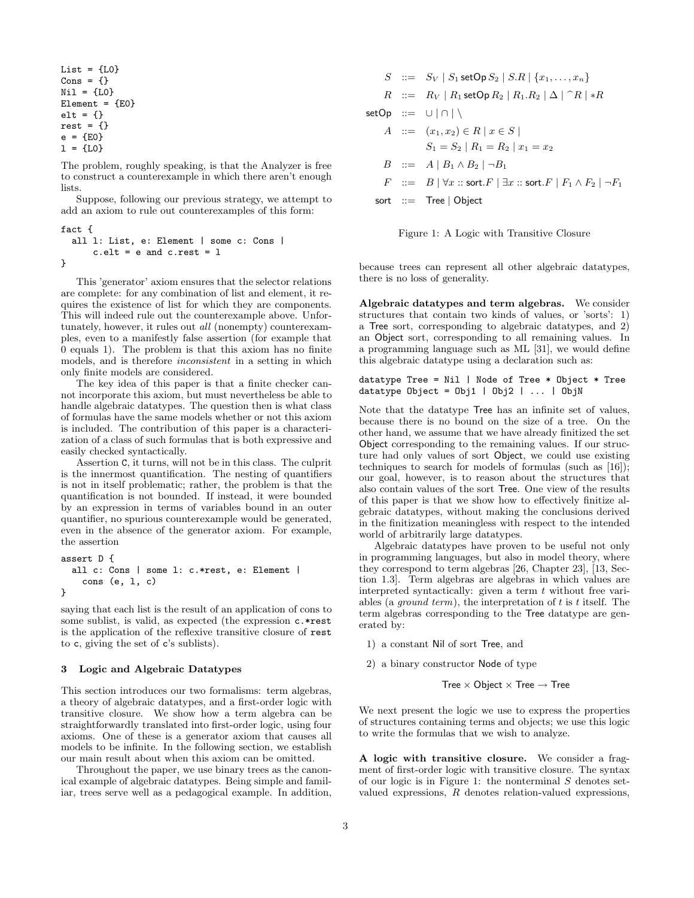List =  ${LD}$ Cons =  $\{\}$  $Nil = \{L0\}$  $Element = {EO}$  $elt = \{\}$ rest =  $\{\}$  $e = {E0}$  $1 = \{L0\}$ 

The problem, roughly speaking, is that the Analyzer is free to construct a counterexample in which there aren't enough lists.

Suppose, following our previous strategy, we attempt to add an axiom to rule out counterexamples of this form:

```
fact {
 all l: List, e: Element | some c: Cons |
      c.elt = e and c.rest = 1}
```
This 'generator' axiom ensures that the selector relations are complete: for any combination of list and element, it requires the existence of list for which they are components. This will indeed rule out the counterexample above. Unfortunately, however, it rules out all (nonempty) counterexamples, even to a manifestly false assertion (for example that 0 equals 1). The problem is that this axiom has no finite models, and is therefore *inconsistent* in a setting in which only finite models are considered.

The key idea of this paper is that a finite checker cannot incorporate this axiom, but must nevertheless be able to handle algebraic datatypes. The question then is what class of formulas have the same models whether or not this axiom is included. The contribution of this paper is a characterization of a class of such formulas that is both expressive and easily checked syntactically.

Assertion C, it turns, will not be in this class. The culprit is the innermost quantification. The nesting of quantifiers is not in itself problematic; rather, the problem is that the quantification is not bounded. If instead, it were bounded by an expression in terms of variables bound in an outer quantifier, no spurious counterexample would be generated, even in the absence of the generator axiom. For example, the assertion

```
assert D {
 all c: Cons | some l: c.*rest, e: Element |
    cons (e, l, c)
}
```
saying that each list is the result of an application of cons to some sublist, is valid, as expected (the expression c.\*rest is the application of the reflexive transitive closure of rest to c, giving the set of c's sublists).

#### 3 Logic and Algebraic Datatypes

This section introduces our two formalisms: term algebras, a theory of algebraic datatypes, and a first-order logic with transitive closure. We show how a term algebra can be straightforwardly translated into first-order logic, using four axioms. One of these is a generator axiom that causes all models to be infinite. In the following section, we establish our main result about when this axiom can be omitted.

Throughout the paper, we use binary trees as the canonical example of algebraic datatypes. Being simple and familiar, trees serve well as a pedagogical example. In addition,

$$
S \ ::= S_V | S_1 \setminus \text{setOp } S_2 | S.R | \{x_1, \ldots, x_n\}
$$
  
\n
$$
R \ ::= R_V | R_1 \setminus \text{setOp } R_2 | R_1.R_2 | \Delta | ^n R | *R
$$
  
\n
$$
\text{setOp} \ ::= \cup | \cap |
$$
  
\n
$$
A \ ::= (x_1, x_2) \in R | x \in S |
$$
  
\n
$$
S_1 = S_2 | R_1 = R_2 | x_1 = x_2
$$
  
\n
$$
B \ ::= A | B_1 \wedge B_2 | ^n B_1
$$
  
\n
$$
F \ ::= B | \forall x :: \text{sort}.F | \exists x :: \text{sort}.F | F_1 \wedge F_2 | ^n F_1
$$
  
\n
$$
\text{sort} \ ::= \text{Tree} | \text{Object}
$$



because trees can represent all other algebraic datatypes, there is no loss of generality.

Algebraic datatypes and term algebras. We consider structures that contain two kinds of values, or 'sorts': 1) a Tree sort, corresponding to algebraic datatypes, and 2) an Object sort, corresponding to all remaining values. In a programming language such as ML [31], we would define this algebraic datatype using a declaration such as:

datatype Tree = Nil | Node of Tree  $*$  Object  $*$  Tree datatype Object = Obj1 | Obj2 | ... | ObjN

Note that the datatype Tree has an infinite set of values, because there is no bound on the size of a tree. On the other hand, we assume that we have already finitized the set Object corresponding to the remaining values. If our structure had only values of sort Object, we could use existing techniques to search for models of formulas (such as [16]); our goal, however, is to reason about the structures that also contain values of the sort Tree. One view of the results of this paper is that we show how to effectively finitize algebraic datatypes, without making the conclusions derived in the finitization meaningless with respect to the intended world of arbitrarily large datatypes.

Algebraic datatypes have proven to be useful not only in programming languages, but also in model theory, where they correspond to term algebras [26, Chapter 23], [13, Section 1.3]. Term algebras are algebras in which values are interpreted syntactically: given a term  $t$  without free variables (a *ground term*), the interpretation of t is t itself. The term algebras corresponding to the Tree datatype are generated by:

1) a constant Nil of sort Tree, and

2) a binary constructor Node of type

Tree  $\times$  Object  $\times$  Tree  $\rightarrow$  Tree

We next present the logic we use to express the properties of structures containing terms and objects; we use this logic to write the formulas that we wish to analyze.

A logic with transitive closure. We consider a fragment of first-order logic with transitive closure. The syntax of our logic is in Figure 1: the nonterminal  $S$  denotes setvalued expressions, R denotes relation-valued expressions,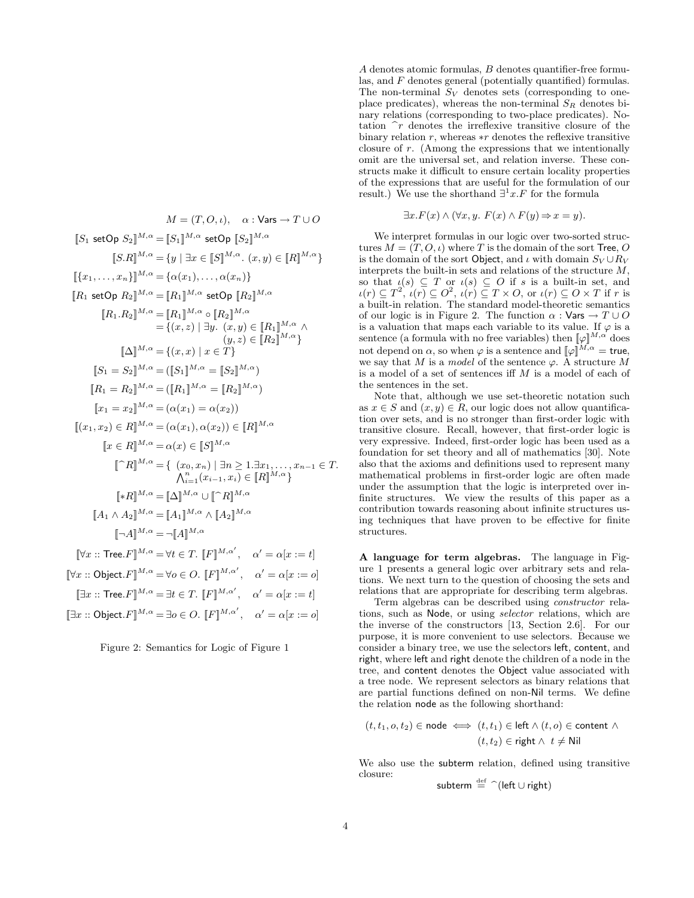$$
M = (T, O, \iota), \quad \alpha : \text{Vars} \to T \cup O
$$
\n
$$
[S_1 \text{ setOp } S_2]^{\mathcal{M}, \alpha} = [S_1]^{\mathcal{M}, \alpha} \text{ setOp } [S_2]^{\mathcal{M}, \alpha}
$$
\n
$$
[S.R]^{\mathcal{M}, \alpha} = \{y \mid \exists x \in [S]^{\mathcal{M}, \alpha}. (x, y) \in [R]^{\mathcal{M}, \alpha} \}
$$
\n
$$
[[R_1 \text{ setOp } R_2]^{\mathcal{M}, \alpha} = [\alpha(x_1), \dots, \alpha(x_n)]
$$
\n
$$
[[R_1 \text{ setOp } R_2]^{\mathcal{M}, \alpha} = [R_1]^{\mathcal{M}, \alpha} \text{ setOp } [R_2]^{\mathcal{M}, \alpha}
$$
\n
$$
[R_1.R_2]^{\mathcal{M}, \alpha} = [R_1]^{\mathcal{M}, \alpha} \text{ of } [R_2]^{\mathcal{M}, \alpha}
$$
\n
$$
[(x, z) \mid \exists y. (x, y) \in [R_1]^{\mathcal{M}, \alpha} \land (y, z) \in [R_2]^{\mathcal{M}, \alpha} \}
$$
\n
$$
[[S_1 = S_2]^{\mathcal{M}, \alpha} = ([S_1]^{\mathcal{M}, \alpha} = [S_2]^{\mathcal{M}, \alpha})
$$
\n
$$
[[R_1 = R_2]^{\mathcal{M}, \alpha} = ([R_1]^{\mathcal{M}, \alpha} = [R_2]^{\mathcal{M}, \alpha})
$$
\n
$$
[[x_1 = x_2]^{\mathcal{M}, \alpha} = (\alpha(x_1) = \alpha(x_2))
$$
\n
$$
[[(x_1, x_2) \in R]^{\mathcal{M}, \alpha} = (\alpha(x_1), \alpha(x_2)) \in [R]^{\mathcal{M}, \alpha}
$$
\n
$$
[[rR]^{\mathcal{M}, \alpha} = (\alpha(x_1), \alpha(x_2)) \in [R]^{\mathcal{M}, \alpha}
$$
\n
$$
[[rR]^{\mathcal{M}, \alpha} = (\alpha(x_1), \alpha(x_2)) \in [R]^{\mathcal{M}, \alpha}
$$
\n
$$
[[rR]^{\mathcal{M}, \alpha} = [\alpha(x_1, x_i) \in [R]^{\mathcal{M
$$

[ $\exists x$  :: Object.  $F$ ]<sup>M, $\alpha$ </sup> =  $\exists o \in O$ . [ $F$ ]<sup>M, $\alpha'$ </sup>,  $\alpha' = \alpha[x := o]$ 



A denotes atomic formulas, B denotes quantifier-free formulas, and F denotes general (potentially quantified) formulas. The non-terminal  $S_V$  denotes sets (corresponding to oneplace predicates), whereas the non-terminal  $S_R$  denotes binary relations (corresponding to two-place predicates). Notation  $\hat{r}$  denotes the irreflexive transitive closure of the binary relation  $r$ , whereas  $*r$  denotes the reflexive transitive closure of r. (Among the expressions that we intentionally omit are the universal set, and relation inverse. These constructs make it difficult to ensure certain locality properties of the expressions that are useful for the formulation of our result.) We use the shorthand  $\exists^1 x. F$  for the formula

$$
\exists x. F(x) \land (\forall x, y. F(x) \land F(y) \Rightarrow x = y).
$$

We interpret formulas in our logic over two-sorted structures  $M = (T, O, \iota)$  where T is the domain of the sort Tree, O is the domain of the sort Object, and  $\iota$  with domain  $S_V \cup R_V$ interprets the built-in sets and relations of the structure  $M$ , so that  $\iota(s) \subseteq T$  or  $\iota(s) \subseteq O$  if s is a built-in set, and  $u(r) \subseteq T^2$ ,  $u(r) \subseteq O^2$ ,  $u(r) \subseteq T \times O$ , or  $u(r) \subseteq O \times T$  if r is a built-in relation. The standard model-theoretic semantics of our logic is in Figure 2. The function  $\alpha$  : Vars  $\rightarrow T \cup O$ is a valuation that maps each variable to its value. If  $\varphi$  is a sentence (a formula with no free variables) then  $\llbracket \varphi \rrbracket^{M,\alpha}$  does not depend on  $\alpha$ , so when  $\varphi$  is a sentence and  $\llbracket \varphi \rrbracket^{M,\alpha} = \text{true},$ we say that M is a model of the sentence  $\varphi$ . A structure M is a model of a set of sentences iff M is a model of each of the sentences in the set.

Note that, although we use set-theoretic notation such as  $x \in S$  and  $(x, y) \in R$ , our logic does not allow quantification over sets, and is no stronger than first-order logic with transitive closure. Recall, however, that first-order logic is very expressive. Indeed, first-order logic has been used as a foundation for set theory and all of mathematics [30]. Note also that the axioms and definitions used to represent many mathematical problems in first-order logic are often made under the assumption that the logic is interpreted over infinite structures. We view the results of this paper as a contribution towards reasoning about infinite structures using techniques that have proven to be effective for finite structures.

A language for term algebras. The language in Figure 1 presents a general logic over arbitrary sets and relations. We next turn to the question of choosing the sets and relations that are appropriate for describing term algebras.

Term algebras can be described using constructor relations, such as Node, or using selector relations, which are the inverse of the constructors [13, Section 2.6]. For our purpose, it is more convenient to use selectors. Because we consider a binary tree, we use the selectors left, content, and right, where left and right denote the children of a node in the tree, and content denotes the Object value associated with a tree node. We represent selectors as binary relations that are partial functions defined on non-Nil terms. We define the relation node as the following shorthand:

$$
(t,t_1,o,t_2) \in \text{node} \iff (t,t_1) \in \text{left} \land (t,o) \in \text{content} \land (t,t_2) \in \text{right} \land t \neq \text{Nil}
$$

We also use the subterm relation, defined using transitive closure:

subterm  $\stackrel{\text{def}}{=} \hat{ }$ (left ∪ right)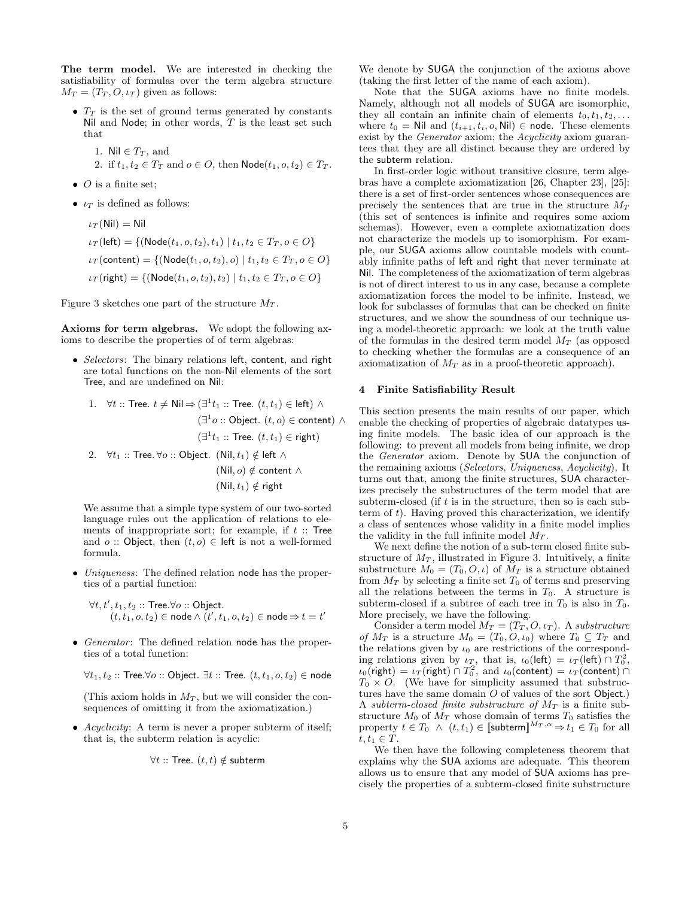The term model. We are interested in checking the satisfiability of formulas over the term algebra structure  $M_T = (T_T, O, \iota_T)$  given as follows:

- $T_T$  is the set of ground terms generated by constants Nil and Node; in other words,  $T$  is the least set such that
	- 1. Nil  $\in T_T$ , and
	- 2. if  $t_1, t_2 \in T_T$  and  $o \in O$ , then  $\mathsf{Node}(t_1, o, t_2) \in T_T$ .
- $O$  is a finite set;
- $\iota_T$  is defined as follows:

 $\iota_T(Nil) = Nil$  $\iota_T(\text{left}) = \{(\text{Node}(t_1, o, t_2), t_1) \mid t_1, t_2 \in T_T, o \in O\}$  $\iota_T$ (content) = {(Node( $t_1, o, t_2$ ),  $o$ ) |  $t_1, t_2 \in T_T, o \in O$ }  $\iota_T(\text{right}) = \{ (\text{Node}(t_1, o, t_2), t_2) \mid t_1, t_2 \in T_T, o \in O \}$ 

Figure 3 sketches one part of the structure  $M_T$ .

Axioms for term algebras. We adopt the following axioms to describe the properties of of term algebras:

• Selectors: The binary relations left, content, and right are total functions on the non-Nil elements of the sort Tree, and are undefined on Nil:

1. 
$$
\forall t :: \text{Tree. } t \neq \text{Nil} \Rightarrow (\exists^1 t_1 :: \text{Tree. } (t, t_1) \in \text{left}) \land
$$
  
\n $(\exists^1 o :: \text{Object. } (t, o) \in \text{content}) \land$   
\n $(\exists^1 t_1 :: \text{Tree. } (t, t_1) \in \text{right})$   
\n2.  $\forall t_1 :: \text{Tree. } \forall o :: \text{Object. } (\text{Nil}, t_1) \notin \text{left} \land$   
\n $(\text{Nil}, o) \notin \text{content} \land$ 

 $(Nil, t_1) \notin$  right

We assume that a simple type system of our two-sorted language rules out the application of relations to elements of inappropriate sort; for example, if  $t$  :: Tree and  $o$  :: Object, then  $(t, o) \in$  left is not a well-formed formula.

• Uniqueness: The defined relation node has the properties of a partial function:

 $\forall t, t', t_1, t_2 :: \text{Tree}.\forall o :: \text{Object}.$  $(t,t_1,o,t_2)\in\mathsf{node}\wedge\overline{(t',t_1,o,t_2)}\in\mathsf{node}\,{\Rightarrow}\, t=t'$ 

• Generator: The defined relation node has the properties of a total function:

 $\forall t_1, t_2$  :: Tree. $\forall o$  :: Object.  $\exists t$  :: Tree.  $(t, t_1, o, t_2) \in \text{node}$ 

(This axiom holds in  $M_T$ , but we will consider the consequences of omitting it from the axiomatization.)

• Acyclicity: A term is never a proper subterm of itself; that is, the subterm relation is acyclic:

$$
\forall t::\text{Tree. }(t,t)\notin\text{subterm}
$$

We denote by SUGA the conjunction of the axioms above (taking the first letter of the name of each axiom).

Note that the SUGA axioms have no finite models. Namely, although not all models of SUGA are isomorphic, they all contain an infinite chain of elements  $t_0, t_1, t_2, \ldots$ where  $t_0 =$  Nil and  $(t_{i+1}, t_i, o,$  Nil)  $\in$  node. These elements exist by the *Generator* axiom; the *Acyclicity* axiom guarantees that they are all distinct because they are ordered by the subterm relation.

In first-order logic without transitive closure, term algebras have a complete axiomatization [26, Chapter 23], [25]: there is a set of first-order sentences whose consequences are precisely the sentences that are true in the structure  $M_T$ (this set of sentences is infinite and requires some axiom schemas). However, even a complete axiomatization does not characterize the models up to isomorphism. For example, our SUGA axioms allow countable models with countably infinite paths of left and right that never terminate at Nil. The completeness of the axiomatization of term algebras is not of direct interest to us in any case, because a complete axiomatization forces the model to be infinite. Instead, we look for subclasses of formulas that can be checked on finite structures, and we show the soundness of our technique using a model-theoretic approach: we look at the truth value of the formulas in the desired term model  $M_T$  (as opposed to checking whether the formulas are a consequence of an axiomatization of  $M_T$  as in a proof-theoretic approach).

#### 4 Finite Satisfiability Result

This section presents the main results of our paper, which enable the checking of properties of algebraic datatypes using finite models. The basic idea of our approach is the following: to prevent all models from being infinite, we drop the Generator axiom. Denote by SUA the conjunction of the remaining axioms (Selectors, Uniqueness, Acyclicity). It turns out that, among the finite structures, SUA characterizes precisely the substructures of the term model that are subterm-closed (if  $t$  is in the structure, then so is each subterm of  $t$ ). Having proved this characterization, we identify a class of sentences whose validity in a finite model implies the validity in the full infinite model  $M_T$ .

We next define the notion of a sub-term closed finite substructure of  $M_T$ , illustrated in Figure 3. Intuitively, a finite substructure  $M_0 = (T_0, O, \iota)$  of  $M_T$  is a structure obtained from  $M_T$  by selecting a finite set  $T_0$  of terms and preserving all the relations between the terms in  $T_0$ . A structure is subterm-closed if a subtree of each tree in  $T_0$  is also in  $T_0$ . More precisely, we have the following.

Consider a term model  $M_T = (T_T, O, \iota_T)$ . A substructure of  $M_T$  is a structure  $M_0 = (T_0, O, \iota_0)$  where  $T_0 \subseteq T_T$  and the relations given by  $\iota_0$  are restrictions of the corresponding relations given by  $\iota_T$ , that is,  $\iota_0$ (left) =  $\iota_T$ (left)  $\cap T_0^2$ ,  $\iota_0(\mathsf{right}) = \iota_T(\mathsf{right}) \cap T_0^2, \text{ and } \iota_0(\mathsf{content}) = \iota_T(\mathsf{content}) \cap T_0$  $T_0 \times O$ . (We have for simplicity assumed that substructures have the same domain  $O$  of values of the sort Object.) A subterm-closed finite substructure of  $M_T$  is a finite substructure  $M_0$  of  $M_T$  whose domain of terms  $T_0$  satisfies the property  $t \in T_0 \land (t, t_1) \in [\text{subterm}]^{M_T, \alpha} \Rightarrow t_1 \in T_0$  for all  $t, t_1 \in T$ .

We then have the following completeness theorem that explains why the SUA axioms are adequate. This theorem allows us to ensure that any model of SUA axioms has precisely the properties of a subterm-closed finite substructure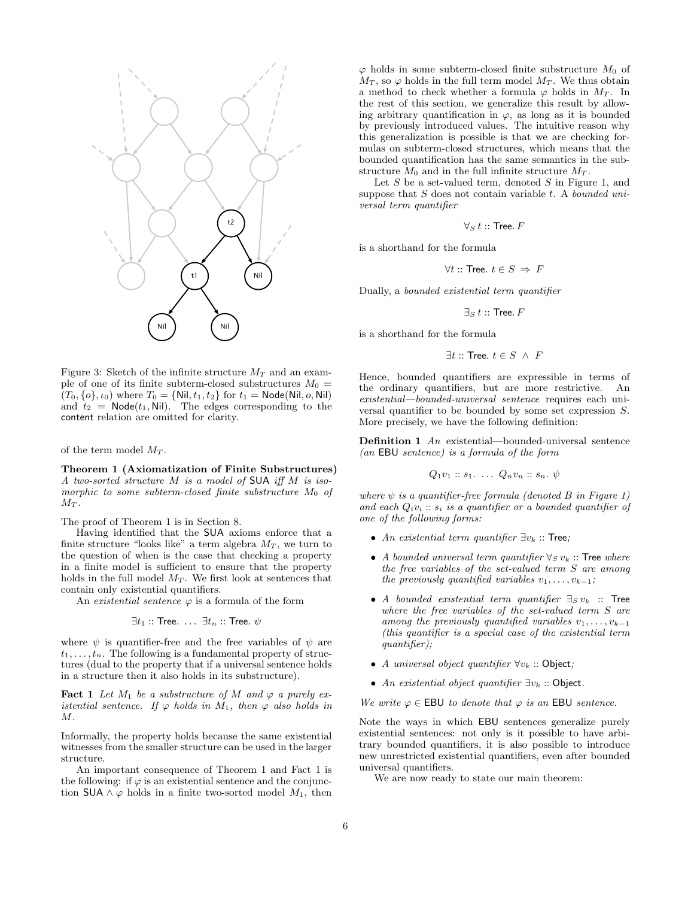

Figure 3: Sketch of the infinite structure  $M_T$  and an example of one of its finite subterm-closed substructures  $M_0 =$  $(T_0, \{o\}, \iota_0)$  where  $T_0 = \{$ Nil,  $t_1, t_2\}$  for  $t_1 = \textsf{Node}(\textsf{Nil}, o, \textsf{Nil})$ and  $t_2$  = Node( $t_1$ , Nil). The edges corresponding to the content relation are omitted for clarity.

of the term model  $M_T$ .

Theorem 1 (Axiomatization of Finite Substructures) A two-sorted structure M is a model of SUA iff M is isomorphic to some subterm-closed finite substructure  $M_0$  of  $M_{\rm T}$ .

The proof of Theorem 1 is in Section 8.

Having identified that the SUA axioms enforce that a finite structure "looks like" a term algebra  $M_T$ , we turn to the question of when is the case that checking a property in a finite model is sufficient to ensure that the property holds in the full model  $M_T$ . We first look at sentences that contain only existential quantifiers.

An existential sentence  $\varphi$  is a formula of the form

$$
\exists t_1 :: \mathsf{Tree}.\ \ldots \ \exists t_n :: \mathsf{Tree}. \ \psi
$$

where  $\psi$  is quantifier-free and the free variables of  $\psi$  are  $t_1, \ldots, t_n$ . The following is a fundamental property of structures (dual to the property that if a universal sentence holds in a structure then it also holds in its substructure).

**Fact 1** Let  $M_1$  be a substructure of M and  $\varphi$  a purely existential sentence. If  $\varphi$  holds in  $M_1$ , then  $\varphi$  also holds in  $M$ .

Informally, the property holds because the same existential witnesses from the smaller structure can be used in the larger structure.

An important consequence of Theorem 1 and Fact 1 is the following: if  $\varphi$  is an existential sentence and the conjunction SUA  $\land \varphi$  holds in a finite two-sorted model  $M_1$ , then

 $\varphi$  holds in some subterm-closed finite substructure  $M_0$  of  $M_T$ , so  $\varphi$  holds in the full term model  $M_T$ . We thus obtain a method to check whether a formula  $\varphi$  holds in  $M_T$ . In the rest of this section, we generalize this result by allowing arbitrary quantification in  $\varphi$ , as long as it is bounded by previously introduced values. The intuitive reason why this generalization is possible is that we are checking formulas on subterm-closed structures, which means that the bounded quantification has the same semantics in the substructure  $M_0$  and in the full infinite structure  $M_T$ .

Let  $S$  be a set-valued term, denoted  $S$  in Figure 1, and suppose that  $S$  does not contain variable  $t$ . A bounded universal term quantifier

$$
\forall_S t :: \mathsf{Tree}.\, F
$$

is a shorthand for the formula

$$
\forall t :: \textsf{Tree}. \ t \in S \ \Rightarrow \ F
$$

Dually, a bounded existential term quantifier

$$
\exists_S t :: \mathsf{Tree}. F
$$

is a shorthand for the formula

 $\exists t$  :: Tree.  $t \in S \land F$ 

Hence, bounded quantifiers are expressible in terms of the ordinary quantifiers, but are more restrictive. An existential—bounded-universal sentence requires each universal quantifier to be bounded by some set expression S. More precisely, we have the following definition:

Definition 1 An existential—bounded-universal sentence (an EBU sentence) is a formula of the form

$$
Q_1v_1 :: s_1. \ldots Q_nv_n :: s_n. \psi
$$

where  $\psi$  is a quantifier-free formula (denoted B in Figure 1) and each  $Q_i v_i :: s_i$  is a quantifier or a bounded quantifier of one of the following forms:

- An existential term quantifier  $\exists v_k$  :: Tree;
- A bounded universal term quantifier  $\forall_S v_k$  :: Tree where the free variables of the set-valued term S are among the previously quantified variables  $v_1, \ldots, v_{k-1}$ ;
- A bounded existential term quantifier  $\exists_S v_k$  :: Tree where the free variables of the set-valued term S are among the previously quantified variables  $v_1, \ldots, v_{k-1}$ (this quantifier is a special case of the existential term quantifier);
- A universal object quantifier  $\forall v_k$  :: Object;
- An existential object quantifier  $\exists v_k$  :: Object.

We write  $\varphi \in$  EBU to denote that  $\varphi$  is an EBU sentence.

Note the ways in which EBU sentences generalize purely existential sentences: not only is it possible to have arbitrary bounded quantifiers, it is also possible to introduce new unrestricted existential quantifiers, even after bounded universal quantifiers.

We are now ready to state our main theorem: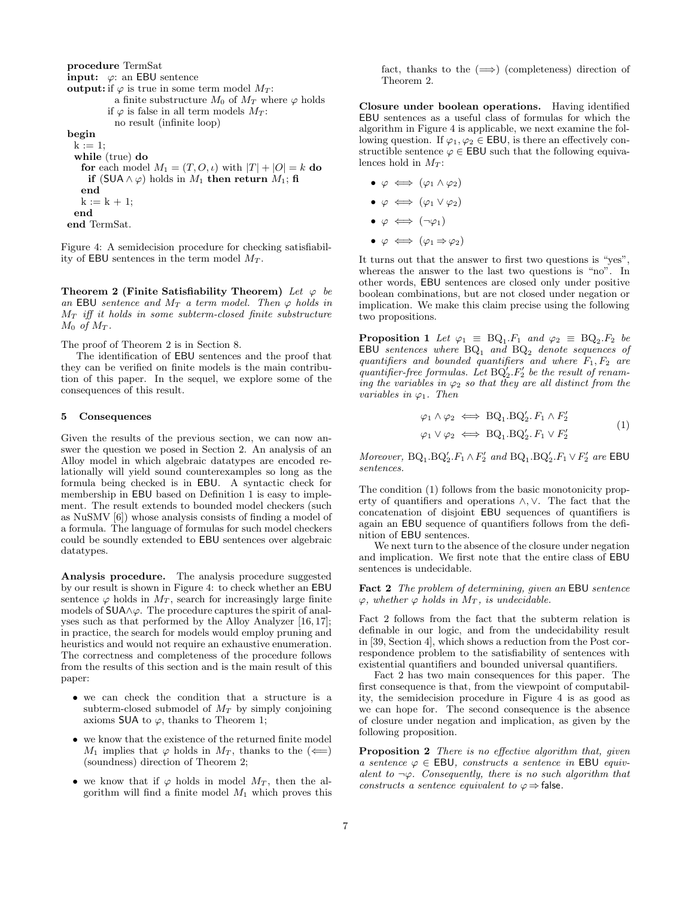```
procedure TermSat
input: \varphi: an EBU sentence
output: if \varphi is true in some term model M_T:
          a finite substructure M_0 of M_T where \varphi holds
         if \varphi is false in all term models M_T:
          no result (infinite loop)
begin
 k := 1;while (true) do
   for each model M_1 = (T, O, \iota) with |T| + |O| = k do
    if (SUA \wedge \varphi) holds in M_1 then return M_1; fi
   end
   k := k + 1;end
```

```
end TermSat.
```
Figure 4: A semidecision procedure for checking satisfiability of EBU sentences in the term model  $M_T$ .

Theorem 2 (Finite Satisfiability Theorem) Let  $\varphi$  be an EBU sentence and  $M_T$  a term model. Then  $\varphi$  holds in  $M_T$  iff it holds in some subterm-closed finite substructure  $M_0$  of  $M_T$ .

The proof of Theorem 2 is in Section 8.

The identification of EBU sentences and the proof that they can be verified on finite models is the main contribution of this paper. In the sequel, we explore some of the consequences of this result.

# 5 Consequences

Given the results of the previous section, we can now answer the question we posed in Section 2. An analysis of an Alloy model in which algebraic datatypes are encoded relationally will yield sound counterexamples so long as the formula being checked is in EBU. A syntactic check for membership in EBU based on Definition 1 is easy to implement. The result extends to bounded model checkers (such as NuSMV [6]) whose analysis consists of finding a model of a formula. The language of formulas for such model checkers could be soundly extended to EBU sentences over algebraic datatypes.

Analysis procedure. The analysis procedure suggested by our result is shown in Figure 4: to check whether an EBU sentence  $\varphi$  holds in  $M_T$ , search for increasingly large finite models of  $\mathsf{SUA} \wedge \varphi$ . The procedure captures the spirit of analyses such as that performed by the Alloy Analyzer [16, 17]; in practice, the search for models would employ pruning and heuristics and would not require an exhaustive enumeration. The correctness and completeness of the procedure follows from the results of this section and is the main result of this paper:

- we can check the condition that a structure is a subterm-closed submodel of  $M_T$  by simply conjoining axioms SUA to  $\varphi$ , thanks to Theorem 1;
- we know that the existence of the returned finite model  $M_1$  implies that  $\varphi$  holds in  $M_T$ , thanks to the  $(\Leftarrow)$ (soundness) direction of Theorem 2;
- we know that if  $\varphi$  holds in model  $M_T$ , then the algorithm will find a finite model  $M_1$  which proves this

fact, thanks to the  $(\Longrightarrow)$  (completeness) direction of Theorem 2.

Closure under boolean operations. Having identified EBU sentences as a useful class of formulas for which the algorithm in Figure 4 is applicable, we next examine the following question. If  $\varphi_1, \varphi_2 \in EBU$ , is there an effectively constructible sentence  $\varphi \in EBU$  such that the following equivalences hold in  $M_T$ :

- $\bullet \varphi \iff (\varphi_1 \wedge \varphi_2)$ •  $\varphi \iff (\varphi_1 \vee \varphi_2)$
- $\varphi \iff (\neg \varphi_1)$
- 
- $\bullet \varphi \iff (\varphi_1 \Rightarrow \varphi_2)$

It turns out that the answer to first two questions is "yes", whereas the answer to the last two questions is "no". In other words, EBU sentences are closed only under positive boolean combinations, but are not closed under negation or implication. We make this claim precise using the following two propositions.

**Proposition 1** Let  $\varphi_1 \equiv BQ_1.F_1$  and  $\varphi_2 \equiv BQ_2.F_2$  be EBU sentences where  $BQ_1$  and  $BQ_2$  denote sequences of quantifiers and bounded quantifiers and where  $F_1, F_2$  are quantifier-free formulas. Let  $BQ'_2.F'_2$  be the result of renaming the variables in  $\varphi_2$  so that they are all distinct from the variables in  $\varphi_1$ . Then

$$
\varphi_1 \land \varphi_2 \iff \text{BQ}_1.\text{BQ}'_2.\text{ } F_1 \land F'_2
$$
  

$$
\varphi_1 \lor \varphi_2 \iff \text{BQ}_1.\text{BQ}'_2.\text{ } F_1 \lor F'_2 \tag{1}
$$

Moreover,  $BQ_1.BQ'_2.F_1 \wedge F'_2$  and  $BQ_1.BQ'_2.F_1 \vee F'_2$  are EBU sentences.

The condition (1) follows from the basic monotonicity property of quantifiers and operations ∧, ∨. The fact that the concatenation of disjoint EBU sequences of quantifiers is again an EBU sequence of quantifiers follows from the definition of EBU sentences.

We next turn to the absence of the closure under negation and implication. We first note that the entire class of EBU sentences is undecidable.

Fact 2 The problem of determining, given an EBU sentence  $\varphi$ , whether  $\varphi$  holds in  $M_T$ , is undecidable.

Fact 2 follows from the fact that the subterm relation is definable in our logic, and from the undecidability result in [39, Section 4], which shows a reduction from the Post correspondence problem to the satisfiability of sentences with existential quantifiers and bounded universal quantifiers.

Fact 2 has two main consequences for this paper. The first consequence is that, from the viewpoint of computability, the semidecision procedure in Figure 4 is as good as we can hope for. The second consequence is the absence of closure under negation and implication, as given by the following proposition.

Proposition 2 There is no effective algorithm that, given a sentence  $\varphi \in EBU$ , constructs a sentence in EBU equivalent to  $\neg \varphi$ . Consequently, there is no such algorithm that constructs a sentence equivalent to  $\varphi \Rightarrow$  false.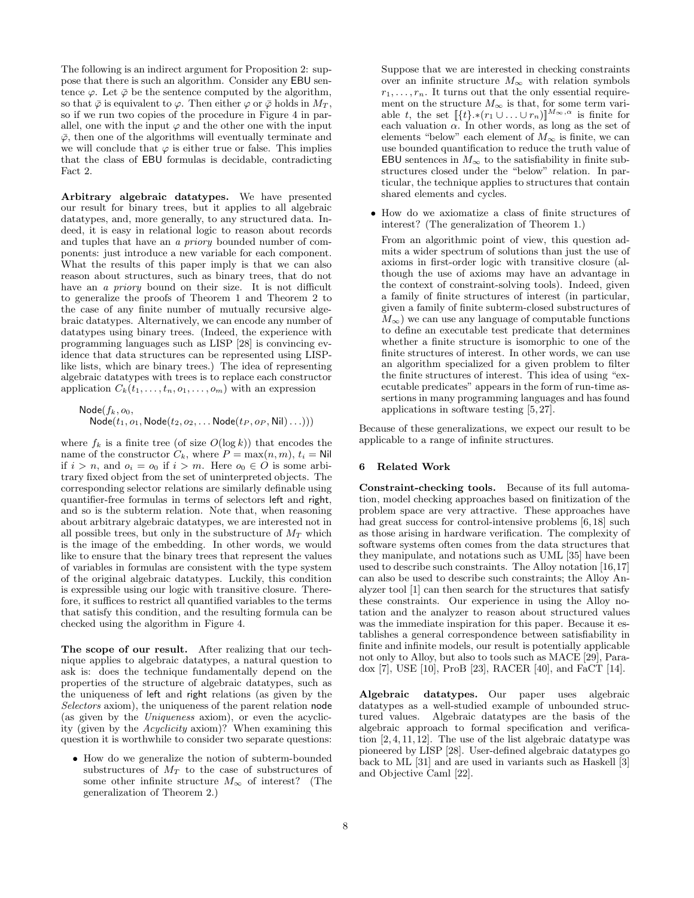The following is an indirect argument for Proposition 2: suppose that there is such an algorithm. Consider any EBU sentence  $\varphi$ . Let  $\bar{\varphi}$  be the sentence computed by the algorithm, so that  $\bar{\varphi}$  is equivalent to  $\varphi$ . Then either  $\varphi$  or  $\bar{\varphi}$  holds in  $M_T$ , so if we run two copies of the procedure in Figure 4 in parallel, one with the input  $\varphi$  and the other one with the input  $\bar{\varphi}$ , then one of the algorithms will eventually terminate and we will conclude that  $\varphi$  is either true or false. This implies that the class of EBU formulas is decidable, contradicting Fact 2.

Arbitrary algebraic datatypes. We have presented our result for binary trees, but it applies to all algebraic datatypes, and, more generally, to any structured data. Indeed, it is easy in relational logic to reason about records and tuples that have an a priory bounded number of components: just introduce a new variable for each component. What the results of this paper imply is that we can also reason about structures, such as binary trees, that do not have an *a priory* bound on their size. It is not difficult to generalize the proofs of Theorem 1 and Theorem 2 to the case of any finite number of mutually recursive algebraic datatypes. Alternatively, we can encode any number of datatypes using binary trees. (Indeed, the experience with programming languages such as LISP [28] is convincing evidence that data structures can be represented using LISPlike lists, which are binary trees.) The idea of representing algebraic datatypes with trees is to replace each constructor application  $C_k(t_1,\ldots,t_n,o_1,\ldots,o_m)$  with an expression

Node( $f_k$ ,  $o_0$ ,  $\textsf{Node}(t_1, o_1, \textsf{Node}(t_2, o_2, \dots \textsf{Node}(t_P, o_P, \textsf{Nil}))$ ...))

where  $f_k$  is a finite tree (of size  $O(\log k)$ ) that encodes the name of the constructor  $C_k$ , where  $P = \max(n, m)$ ,  $t_i = \text{Nil}$ if  $i > n$ , and  $o_i = o_0$  if  $i > m$ . Here  $o_0 \in O$  is some arbitrary fixed object from the set of uninterpreted objects. The corresponding selector relations are similarly definable using quantifier-free formulas in terms of selectors left and right, and so is the subterm relation. Note that, when reasoning about arbitrary algebraic datatypes, we are interested not in all possible trees, but only in the substructure of  $M_T$  which is the image of the embedding. In other words, we would like to ensure that the binary trees that represent the values of variables in formulas are consistent with the type system of the original algebraic datatypes. Luckily, this condition is expressible using our logic with transitive closure. Therefore, it suffices to restrict all quantified variables to the terms that satisfy this condition, and the resulting formula can be checked using the algorithm in Figure 4.

The scope of our result. After realizing that our technique applies to algebraic datatypes, a natural question to ask is: does the technique fundamentally depend on the properties of the structure of algebraic datatypes, such as the uniqueness of left and right relations (as given by the Selectors axiom), the uniqueness of the parent relation node (as given by the Uniqueness axiom), or even the acyclicity (given by the Acyclicity axiom)? When examining this question it is worthwhile to consider two separate questions:

• How do we generalize the notion of subterm-bounded substructures of  $M_T$  to the case of substructures of some other infinite structure  $M_{\infty}$  of interest? (The generalization of Theorem 2.)

Suppose that we are interested in checking constraints over an infinite structure  $M_{\infty}$  with relation symbols  $r_1, \ldots, r_n$ . It turns out that the only essential requirement on the structure  $M_{\infty}$  is that, for some term variable t, the set  $[[{t}].*(r_1 \cup \ldots \cup r_n)]^{M_{\infty},\alpha}$  is finite for each valuation  $\alpha$ . In other words, as long as the set of elements "below" each element of  $M_{\infty}$  is finite, we can use bounded quantification to reduce the truth value of EBU sentences in  $M_{\infty}$  to the satisfiability in finite substructures closed under the "below" relation. In particular, the technique applies to structures that contain shared elements and cycles.

• How do we axiomatize a class of finite structures of interest? (The generalization of Theorem 1.)

From an algorithmic point of view, this question admits a wider spectrum of solutions than just the use of axioms in first-order logic with transitive closure (although the use of axioms may have an advantage in the context of constraint-solving tools). Indeed, given a family of finite structures of interest (in particular, given a family of finite subterm-closed substructures of  $M_{\infty}$ ) we can use any language of computable functions to define an executable test predicate that determines whether a finite structure is isomorphic to one of the finite structures of interest. In other words, we can use an algorithm specialized for a given problem to filter the finite structures of interest. This idea of using "executable predicates" appears in the form of run-time assertions in many programming languages and has found applications in software testing [5, 27].

Because of these generalizations, we expect our result to be applicable to a range of infinite structures.

### 6 Related Work

Constraint-checking tools. Because of its full automation, model checking approaches based on finitization of the problem space are very attractive. These approaches have had great success for control-intensive problems  $[6, 18]$  such as those arising in hardware verification. The complexity of software systems often comes from the data structures that they manipulate, and notations such as UML [35] have been used to describe such constraints. The Alloy notation [16,17] can also be used to describe such constraints; the Alloy Analyzer tool [1] can then search for the structures that satisfy these constraints. Our experience in using the Alloy notation and the analyzer to reason about structured values was the immediate inspiration for this paper. Because it establishes a general correspondence between satisfiability in finite and infinite models, our result is potentially applicable not only to Alloy, but also to tools such as MACE [29], Paradox [7], USE [10], ProB [23], RACER [40], and FaCT [14].

Algebraic datatypes. Our paper uses algebraic datatypes as a well-studied example of unbounded structured values. Algebraic datatypes are the basis of the algebraic approach to formal specification and verification [2, 4, 11, 12]. The use of the list algebraic datatype was pioneered by LISP [28]. User-defined algebraic datatypes go back to ML [31] and are used in variants such as Haskell [3] and Objective Caml [22].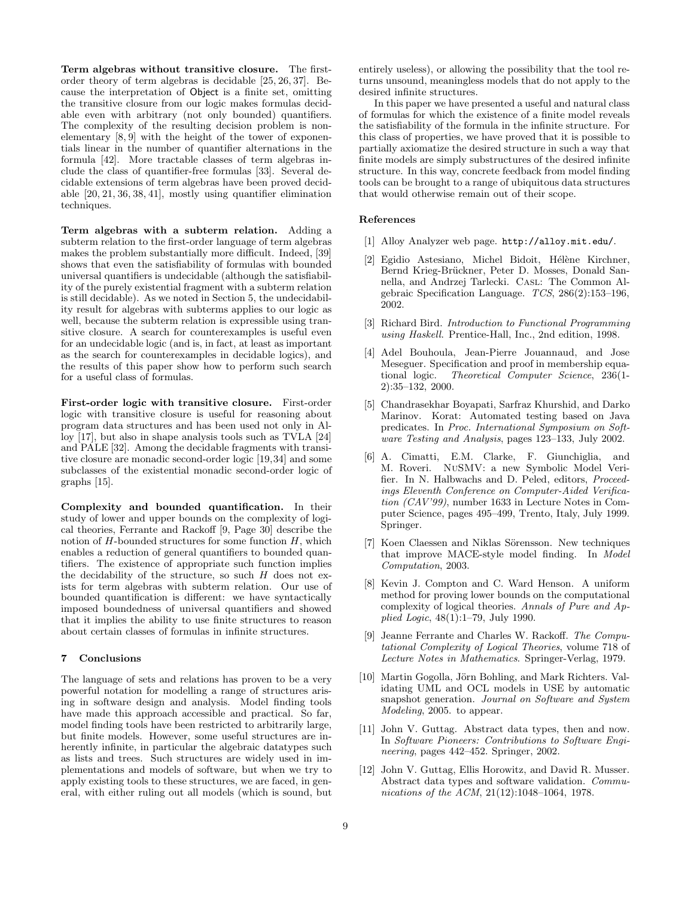Term algebras without transitive closure. The firstorder theory of term algebras is decidable [25, 26, 37]. Because the interpretation of Object is a finite set, omitting the transitive closure from our logic makes formulas decidable even with arbitrary (not only bounded) quantifiers. The complexity of the resulting decision problem is nonelementary [8, 9] with the height of the tower of exponentials linear in the number of quantifier alternations in the formula [42]. More tractable classes of term algebras include the class of quantifier-free formulas [33]. Several decidable extensions of term algebras have been proved decidable [20, 21, 36, 38, 41], mostly using quantifier elimination techniques.

Term algebras with a subterm relation. Adding a subterm relation to the first-order language of term algebras makes the problem substantially more difficult. Indeed, [39] shows that even the satisfiability of formulas with bounded universal quantifiers is undecidable (although the satisfiability of the purely existential fragment with a subterm relation is still decidable). As we noted in Section 5, the undecidability result for algebras with subterms applies to our logic as well, because the subterm relation is expressible using transitive closure. A search for counterexamples is useful even for an undecidable logic (and is, in fact, at least as important as the search for counterexamples in decidable logics), and the results of this paper show how to perform such search for a useful class of formulas.

First-order logic with transitive closure. First-order logic with transitive closure is useful for reasoning about program data structures and has been used not only in Alloy [17], but also in shape analysis tools such as TVLA [24] and PALE [32]. Among the decidable fragments with transitive closure are monadic second-order logic [19,34] and some subclasses of the existential monadic second-order logic of graphs [15].

Complexity and bounded quantification. In their study of lower and upper bounds on the complexity of logical theories, Ferrante and Rackoff [9, Page 30] describe the notion of  $H$ -bounded structures for some function  $H$ , which enables a reduction of general quantifiers to bounded quantifiers. The existence of appropriate such function implies the decidability of the structure, so such  $H$  does not exists for term algebras with subterm relation. Our use of bounded quantification is different: we have syntactically imposed boundedness of universal quantifiers and showed that it implies the ability to use finite structures to reason about certain classes of formulas in infinite structures.

#### 7 Conclusions

The language of sets and relations has proven to be a very powerful notation for modelling a range of structures arising in software design and analysis. Model finding tools have made this approach accessible and practical. So far, model finding tools have been restricted to arbitrarily large, but finite models. However, some useful structures are inherently infinite, in particular the algebraic datatypes such as lists and trees. Such structures are widely used in implementations and models of software, but when we try to apply existing tools to these structures, we are faced, in general, with either ruling out all models (which is sound, but entirely useless), or allowing the possibility that the tool returns unsound, meaningless models that do not apply to the desired infinite structures.

In this paper we have presented a useful and natural class of formulas for which the existence of a finite model reveals the satisfiability of the formula in the infinite structure. For this class of properties, we have proved that it is possible to partially axiomatize the desired structure in such a way that finite models are simply substructures of the desired infinite structure. In this way, concrete feedback from model finding tools can be brought to a range of ubiquitous data structures that would otherwise remain out of their scope.

#### References

- [1] Alloy Analyzer web page. http://alloy.mit.edu/.
- [2] Egidio Astesiano, Michel Bidoit, Hélène Kirchner, Bernd Krieg-Brückner, Peter D. Mosses, Donald Sannella, and Andrzej Tarlecki. Casl: The Common Algebraic Specification Language. TCS, 286(2):153–196, 2002.
- [3] Richard Bird. Introduction to Functional Programming using Haskell. Prentice-Hall, Inc., 2nd edition, 1998.
- [4] Adel Bouhoula, Jean-Pierre Jouannaud, and Jose Meseguer. Specification and proof in membership equational logic. Theoretical Computer Science, 236(1- 2):35–132, 2000.
- [5] Chandrasekhar Boyapati, Sarfraz Khurshid, and Darko Marinov. Korat: Automated testing based on Java predicates. In Proc. International Symposium on Software Testing and Analysis, pages 123–133, July 2002.
- [6] A. Cimatti, E.M. Clarke, F. Giunchiglia, and M. Roveri. NuSMV: a new Symbolic Model Verifier. In N. Halbwachs and D. Peled, editors, Proceedings Eleventh Conference on Computer-Aided Verification (CAV'99), number 1633 in Lecture Notes in Computer Science, pages 495–499, Trento, Italy, July 1999. Springer.
- [7] Koen Claessen and Niklas Sörensson. New techniques that improve MACE-style model finding. In Model Computation, 2003.
- [8] Kevin J. Compton and C. Ward Henson. A uniform method for proving lower bounds on the computational complexity of logical theories. Annals of Pure and Applied Logic,  $48(1)$ :1-79, July 1990.
- [9] Jeanne Ferrante and Charles W. Rackoff. The Computational Complexity of Logical Theories, volume 718 of Lecture Notes in Mathematics. Springer-Verlag, 1979.
- [10] Martin Gogolla, Jörn Bohling, and Mark Richters. Validating UML and OCL models in USE by automatic snapshot generation. Journal on Software and System Modeling, 2005. to appear.
- [11] John V. Guttag. Abstract data types, then and now. In Software Pioneers: Contributions to Software Engineering, pages 442–452. Springer, 2002.
- [12] John V. Guttag, Ellis Horowitz, and David R. Musser. Abstract data types and software validation. Communications of the ACM, 21(12):1048–1064, 1978.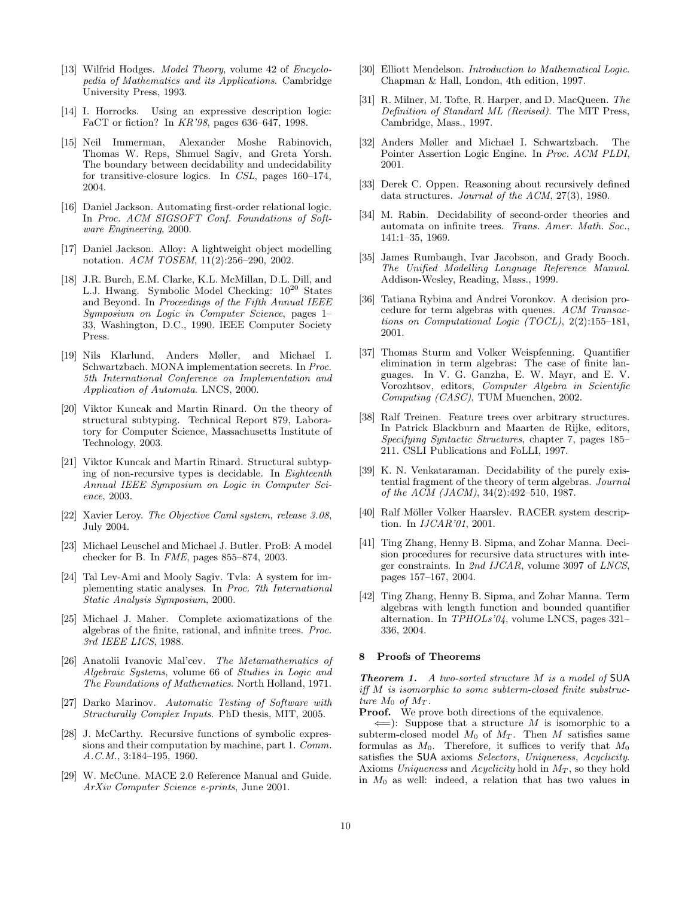- [13] Wilfrid Hodges. *Model Theory*, volume 42 of *Encyclo*pedia of Mathematics and its Applications. Cambridge University Press, 1993.
- [14] I. Horrocks. Using an expressive description logic: FaCT or fiction? In KR'98, pages 636–647, 1998.
- [15] Neil Immerman, Alexander Moshe Rabinovich, Thomas W. Reps, Shmuel Sagiv, and Greta Yorsh. The boundary between decidability and undecidability for transitive-closure logics. In CSL, pages 160–174, 2004.
- [16] Daniel Jackson. Automating first-order relational logic. In Proc. ACM SIGSOFT Conf. Foundations of Software Engineering, 2000.
- [17] Daniel Jackson. Alloy: A lightweight object modelling notation. ACM TOSEM, 11(2):256–290, 2002.
- [18] J.R. Burch, E.M. Clarke, K.L. McMillan, D.L. Dill, and L.J. Hwang. Symbolic Model Checking:  $10^{20}$  States and Beyond. In Proceedings of the Fifth Annual IEEE Symposium on Logic in Computer Science, pages 1– 33, Washington, D.C., 1990. IEEE Computer Society Press.
- [19] Nils Klarlund, Anders Møller, and Michael I. Schwartzbach. MONA implementation secrets. In Proc. 5th International Conference on Implementation and Application of Automata. LNCS, 2000.
- [20] Viktor Kuncak and Martin Rinard. On the theory of structural subtyping. Technical Report 879, Laboratory for Computer Science, Massachusetts Institute of Technology, 2003.
- [21] Viktor Kuncak and Martin Rinard. Structural subtyping of non-recursive types is decidable. In Eighteenth Annual IEEE Symposium on Logic in Computer Science, 2003.
- [22] Xavier Leroy. The Objective Caml system, release 3.08, July 2004.
- [23] Michael Leuschel and Michael J. Butler. ProB: A model checker for B. In FME, pages 855–874, 2003.
- [24] Tal Lev-Ami and Mooly Sagiv. Tvla: A system for implementing static analyses. In Proc. 7th International Static Analysis Symposium, 2000.
- [25] Michael J. Maher. Complete axiomatizations of the algebras of the finite, rational, and infinite trees. Proc. 3rd IEEE LICS, 1988.
- [26] Anatolii Ivanovic Mal'cev. The Metamathematics of Algebraic Systems, volume 66 of Studies in Logic and The Foundations of Mathematics. North Holland, 1971.
- [27] Darko Marinov. Automatic Testing of Software with Structurally Complex Inputs. PhD thesis, MIT, 2005.
- [28] J. McCarthy. Recursive functions of symbolic expressions and their computation by machine, part 1. Comm. A.C.M., 3:184–195, 1960.
- [29] W. McCune. MACE 2.0 Reference Manual and Guide. ArXiv Computer Science e-prints, June 2001.
- [30] Elliott Mendelson. *Introduction to Mathematical Logic*. Chapman & Hall, London, 4th edition, 1997.
- [31] R. Milner, M. Tofte, R. Harper, and D. MacQueen. The Definition of Standard ML (Revised). The MIT Press, Cambridge, Mass., 1997.
- [32] Anders Møller and Michael I. Schwartzbach. The Pointer Assertion Logic Engine. In Proc. ACM PLDI, 2001.
- [33] Derek C. Oppen. Reasoning about recursively defined data structures. Journal of the ACM, 27(3), 1980.
- [34] M. Rabin. Decidability of second-order theories and automata on infinite trees. Trans. Amer. Math. Soc., 141:1–35, 1969.
- [35] James Rumbaugh, Ivar Jacobson, and Grady Booch. The Unified Modelling Language Reference Manual. Addison-Wesley, Reading, Mass., 1999.
- [36] Tatiana Rybina and Andrei Voronkov. A decision procedure for term algebras with queues. ACM Transactions on Computational Logic (TOCL), 2(2):155–181, 2001.
- [37] Thomas Sturm and Volker Weispfenning. Quantifier elimination in term algebras: The case of finite languages. In V. G. Ganzha, E. W. Mayr, and E. V. Vorozhtsov, editors, Computer Algebra in Scientific Computing (CASC), TUM Muenchen, 2002.
- [38] Ralf Treinen. Feature trees over arbitrary structures. In Patrick Blackburn and Maarten de Rijke, editors, Specifying Syntactic Structures, chapter 7, pages 185– 211. CSLI Publications and FoLLI, 1997.
- [39] K. N. Venkataraman. Decidability of the purely existential fragment of the theory of term algebras. Journal of the ACM (JACM), 34(2):492–510, 1987.
- [40] Ralf Möller Volker Haarslev. RACER system description. In IJCAR'01, 2001.
- [41] Ting Zhang, Henny B. Sipma, and Zohar Manna. Decision procedures for recursive data structures with integer constraints. In 2nd IJCAR, volume 3097 of LNCS, pages 157–167, 2004.
- [42] Ting Zhang, Henny B. Sipma, and Zohar Manna. Term algebras with length function and bounded quantifier alternation. In TPHOLs'04, volume LNCS, pages 321– 336, 2004.

# 8 Proofs of Theorems

Theorem 1. A two-sorted structure M is a model of SUA iff M is isomorphic to some subterm-closed finite substructure  $M_0$  of  $M_T$ .

**Proof.** We prove both directions of the equivalence.

 $\leftarrow$ : Suppose that a structure M is isomorphic to a subterm-closed model  $M_0$  of  $M_T$ . Then M satisfies same formulas as  $M_0$ . Therefore, it suffices to verify that  $M_0$ satisfies the SUA axioms Selectors, Uniqueness, Acyclicity. Axioms Uniqueness and Acyclicity hold in  $M_T$ , so they hold in  $M_0$  as well: indeed, a relation that has two values in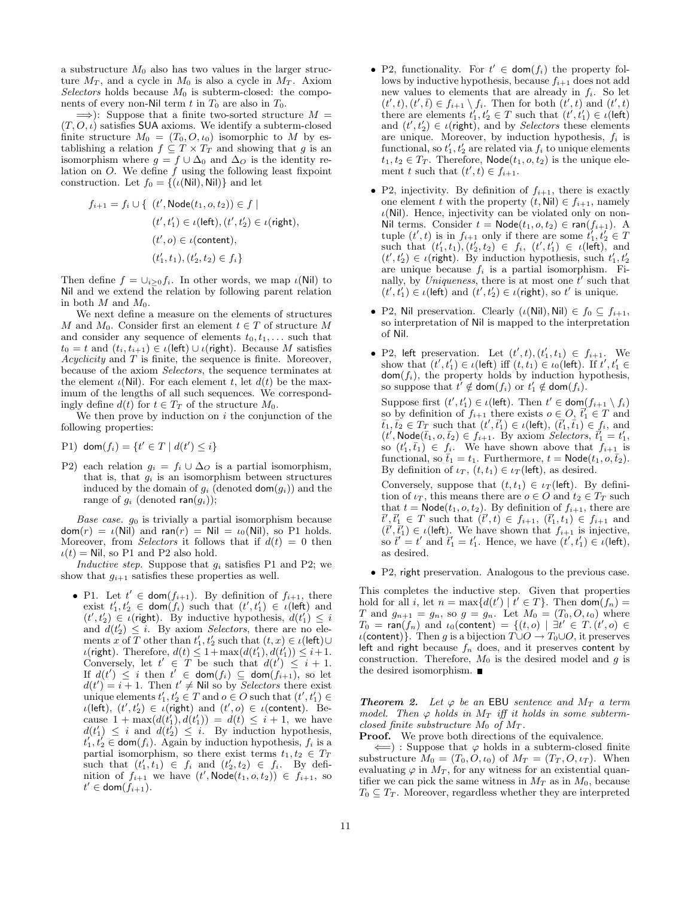a substructure  $M_0$  also has two values in the larger structure  $M_T$ , and a cycle in  $M_0$  is also a cycle in  $M_T$ . Axiom Selectors holds because  $M_0$  is subterm-closed: the components of every non-Nil term t in  $T_0$  are also in  $T_0$ .

 $\implies$ : Suppose that a finite two-sorted structure  $M =$  $(T, O, \iota)$  satisfies SUA axioms. We identify a subterm-closed finite structure  $M_0 = (T_0, O, \iota_0)$  isomorphic to M by establishing a relation  $f \subseteq T \times T_T$  and showing that g is an isomorphism where  $g = f \cup \Delta_0$  and  $\Delta_0$  is the identity relation on  $O$ . We define  $f$  using the following least fixpoint construction. Let  $f_0 = \{(\iota(\text{Nil}), \text{Nil})\}$  and let

$$
f_{i+1} = f_i \cup \{ (t', \text{Node}(t_1, o, t_2)) \in f \mid
$$

$$
(t', t'_1) \in \iota(\text{left}), (t', t'_2) \in \iota(\text{right}),
$$

$$
(t', o) \in \iota(\text{content}),
$$

$$
(t'_1, t_1), (t'_2, t_2) \in f_i \}
$$

Then define  $f = \bigcup_{i>0} f_i$ . In other words, we map  $\iota(\text{Nil})$  to Nil and we extend the relation by following parent relation in both  $M$  and  $M_0$ .

We next define a measure on the elements of structures M and  $M_0$ . Consider first an element  $t \in T$  of structure M and consider any sequence of elements  $t_0, t_1, \ldots$  such that  $t_0 = t$  and  $(t_i, t_{i+1}) \in \iota(\text{left}) \cup \iota(\text{right})$ . Because M satisfies Acyclicity and  $T$  is finite, the sequence is finite. Moreover, because of the axiom Selectors, the sequence terminates at the element  $\iota(\text{Nil})$ . For each element t, let  $d(t)$  be the maximum of the lengths of all such sequences. We correspondingly define  $d(t)$  for  $t \in T_T$  of the structure  $M_0$ .

We then prove by induction on  $i$  the conjunction of the following properties:

- P1) dom $(f_i) = \{t' \in T \mid d(t') \leq i\}$
- P2) each relation  $g_i = f_i \cup \Delta_O$  is a partial isomorphism, that is, that  $g_i$  is an isomorphism between structures induced by the domain of  $g_i$  (denoted  $\mathsf{dom}(g_i)$ ) and the range of  $g_i$  (denoted ran( $g_i$ ));

Base case.  $g_0$  is trivially a partial isomorphism because  $dom(r) = \iota(Nil)$  and ran $(r) = Nil = \iota_0(Nil)$ , so P1 holds. Moreover, from *Selectors* it follows that if  $d(t) = 0$  then  $u(t) =$  Nil, so P1 and P2 also hold.

Inductive step. Suppose that  $g_i$  satisfies P1 and P2; we show that  $g_{i+1}$  satisfies these properties as well.

• P1. Let  $t' \in \text{dom}(f_{i+1})$ . By definition of  $f_{i+1}$ , there exist  $t'_1, t'_2 \in \text{dom}(f_i)$  such that  $(t', t'_1) \in \iota(\text{left})$  and  $(t', t'_2) \in \iota(\text{right}).$  By inductive hypothesis,  $d(t'_1) \leq i$ and  $d(t'_2) \leq i$ . By axiom Selectors, there are no elements x of T other than  $t_1', t_2'$  such that  $(t, x) \in \iota(\mathsf{left}) \cup$  $\iota$ (right). Therefore,  $d(t) \leq 1 + \max(d(t'_1), d(t'_1)) \leq i+1$ . Conversely, let  $t' \in T$  be such that  $d(t') \leq i+1$ . If  $d(t') \leq i$  then  $t' \in \mathsf{dom}(f_i) \subseteq \mathsf{dom}(f_{i+1}),$  so let  $d(t') = i + 1$ . Then  $t' \neq$  Nil so by Selectors there exist unique elements  $t'_1, t'_2 \in T$  and  $o \in O$  such that  $(t', t'_1) \in$  $u(\textsf{left}), (t', t'_2) \in \iota(\textsf{right}) \text{ and } (t', o) \in \iota(\textsf{content}).$  Because  $1 + \max(d(t'_1), d(t'_1)) = d(t) \leq i + 1$ , we have  $d(t'_1) \leq i$  and  $d(t'_2) \leq i$ . By induction hypothesis,  $t'_1, t'_2 \in \text{dom}(f_i)$ . Again by induction hypothesis,  $f_i$  is a partial isomorphism, so there exist terms  $t_1, t_2 \in T_T$ such that  $(t'_1, t_1) \in f_i$  and  $(t'_2, t_2) \in f_i$ . By definition of  $f_{i+1}$  we have  $(t', \textsf{Node}(t_1, o, t_2)) \in f_{i+1}$ , so  $t' \in \textsf{dom}(\widetilde{f}_{i+1}).$ 

- P2, functionality. For  $t' \in \text{dom}(f_i)$  the property follows by inductive hypothesis, because  $f_{i+1}$  does not add new values to elements that are already in  $f_i$ . So let  $(t',t), (t',\bar{t}) \in f_{i+1} \setminus f_i$ . Then for both  $(t',t)$  and  $(t',t)$ there are elements  $t'_1, t'_2 \in T$  such that  $(t', t'_1) \in \iota(\text{left})$ and  $(t', t'_2) \in \iota(\text{right})$ , and by *Selectors* these elements are unique. Moreover, by induction hypothesis,  $f_i$  is functional, so  $t_1', t_2'$  are related via  $f_i$  to unique elements  $t_1, t_2 \in T_T$ . Therefore, Node $(t_1, o, t_2)$  is the unique element t such that  $(t', t) \in f_{i+1}$ .
- P2, injectivity. By definition of  $f_{i+1}$ , there is exactly one element t with the property  $(t, Nil) \in f_{i+1}$ , namely  $\iota$ (Nil). Hence, injectivity can be violated only on non-Nil terms. Consider  $t = \text{Node}(t_1, o, t_2) \in \text{ran}(f_{i+1})$ . A tuple  $(t', t)$  is in  $f_{i+1}$  only if there are some  $t'_1, t'_2 \in T$ such that  $(t'_1, t_1), (t'_2, t_2) \in f_i, (t', t'_1) \in \iota(\mathsf{left}),$  and  $(t', t'_2) \in \iota(\text{right}).$  By induction hypothesis, such  $t'_1, t'_2$ are unique because  $f_i$  is a partial isomorphism. Finally, by Uniqueness, there is at most one  $\hat{t}'$  such that  $(t', t'_1) \in \iota(\text{left})$  and  $(t', t'_2) \in \iota(\text{right})$ , so t' is unique.
- P2, Nil preservation. Clearly  $(\iota(Nil), Nil) \in f_0 \subseteq f_{i+1}$ , so interpretation of Nil is mapped to the interpretation of Nil.
- P2, left preservation. Let  $(t',t), (t'_1, t_1) \in f_{i+1}$ . We show that  $(t', t'_1) \in \iota(\text{left})$  iff  $(t, t_1) \in \iota_0(\text{left})$ . If  $t', t'_1 \in$  $\mathsf{dom}(f_i)$ , the property holds by induction hypothesis, so suppose that  $t' \notin \text{dom}(f_i)$  or  $t'_1 \notin \text{dom}(f_i)$ .

Suppose first  $(t', t'_1) \in \iota(\mathsf{left})$ . Then  $t' \in \mathsf{dom}(f_{i+1} \setminus f_i)$ so by definition of  $f_{i+1}$  there exists  $o \in O, t_1 \in T$  and  $\bar{t}_1, \bar{t}_2 \in T_T$  such that  $(t', \bar{t}'_1) \in \iota(\mathsf{left}), (\bar{t}'_1, \bar{t}_1) \in f_i$ , and  $(t^{\prime}, \text{Node}(\bar{t}_1, o, \bar{t}_2) \in f_{i+1}$ . By axiom *Selectors*,  $\bar{t}_1^{\prime} = t_1^{\prime}$ , so  $(t'_1, \bar{t}_1) \in f_i$ . We have shown above that  $f_{i+1}$  is functional, so  $\bar{t}_1 = t_1$ . Furthermore,  $t = \textsf{Node}(t_1, o, \bar{t}_2)$ . By definition of  $\iota_T$ ,  $(t, t_1) \in \iota_T$  (left), as desired.

Conversely, suppose that  $(t, t_1) \in \iota_T(\text{left})$ . By definition of  $\iota_T$ , this means there are  $o \in O$  and  $t_2 \in T_T$  such that  $t = \text{Node}(t_1, o, t_2)$ . By definition of  $f_{i+1}$ , there are  $\bar{t}', \bar{t}'_1 \in T$  such that  $(\bar{t}', t) \in f_{i+1}, (\bar{t}'_1, t_1) \in f_{i+1}$  and  $(\bar{t}', \bar{t}'_1) \in \iota(\text{left})$ . We have shown that  $f_{i+1}$  is injective, so  $\bar{t}' = t'$  and  $\bar{t}'_1 = t'_1$ . Hence, we have  $(t', t'_1) \in \iota(\text{left}),$ as desired.

• P2, right preservation. Analogous to the previous case.

This completes the inductive step. Given that properties hold for all i, let  $n = \max\{d(t') | t' \in T\}$ . Then  $\text{dom}(f_n) =$ T and  $g_{n+1} = g_n$ , so  $g = g_n$ . Let  $M_0 = (T_0, O, \iota_0)$  where  $T_0 = \text{ran}(f_n)$  and  $\iota_0(\text{content}) = \{(t,o) \mid \exists t' \in T \ldotp (t',o) \in T \}$  $\iota$ (content)}. Then g is a bijection  $T\cup O \to T_0\cup O$ , it preserves left and right because  $f_n$  does, and it preserves content by construction. Therefore,  $M_0$  is the desired model and g is the desired isomorphism.

**Theorem 2.** Let  $\varphi$  be an EBU sentence and  $M_T$  a term model. Then  $\varphi$  holds in  $M_T$  iff it holds in some subtermclosed finite substructure  $M_0$  of  $M_T$ .

**Proof.** We prove both directions of the equivalence.

 $\leftarrow$ ) : Suppose that  $\varphi$  holds in a subterm-closed finite substructure  $M_0 = (T_0, O, \iota_0)$  of  $M_T = (T_T, O, \iota_T)$ . When evaluating  $\varphi$  in  $M_T$ , for any witness for an existential quantifier we can pick the same witness in  $M_T$  as in  $M_0$ , because  $T_0 \subseteq T_T$ . Moreover, regardless whether they are interpreted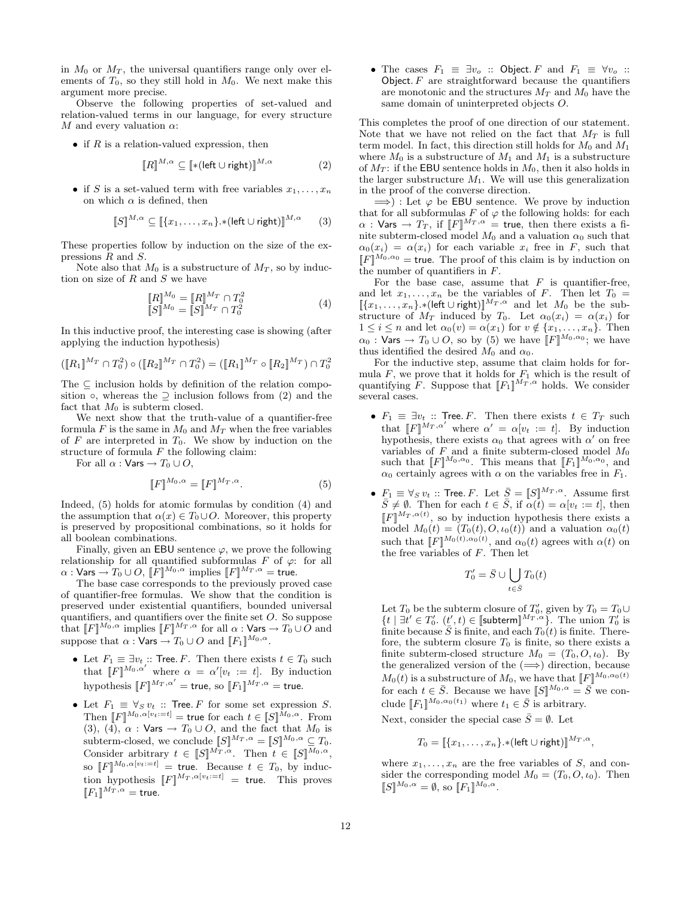in  $M_0$  or  $M_T$ , the universal quantifiers range only over elements of  $T_0$ , so they still hold in  $M_0$ . We next make this argument more precise.

Observe the following properties of set-valued and relation-valued terms in our language, for every structure M and every valuation  $\alpha$ :

• if  $R$  is a relation-valued expression, then

$$
\llbracket R \rrbracket^{M,\alpha} \subseteq \llbracket * (\mathsf{left} \cup \mathsf{right}) \rrbracket^{M,\alpha} \tag{2}
$$

• if S is a set-valued term with free variables  $x_1, \ldots, x_n$ on which  $\alpha$  is defined, then

$$
[\![S]\!]^{M,\alpha} \subseteq [\![\{x_1,\ldots,x_n\}.\ast(\mathsf{left}\cup\mathsf{right})]\!]^{M,\alpha} \qquad (3)
$$

These properties follow by induction on the size of the expressions R and S.

Note also that  $M_0$  is a substructure of  $M_T$ , so by induction on size of  $R$  and  $S$  we have

$$
\begin{aligned} \llbracket R \rrbracket^{M_0} &= \llbracket R \rrbracket^{M_T} \cap T_0^2 \\ \llbracket S \rrbracket^{M_0} &= \llbracket S \rrbracket^{M_T} \cap T_0^2 \end{aligned} \tag{4}
$$

In this inductive proof, the interesting case is showing (after applying the induction hypothesis)

$$
([R_1]^{M_T} \cap T_0^2) \circ ([R_2]^{M_T} \cap T_0^2) = ([R_1]^{M_T} \circ [R_2]^{M_T}) \cap T_0^2
$$

The  $\subseteq$  inclusion holds by definition of the relation composition  $\circ$ , whereas the  $\supseteq$  inclusion follows from (2) and the fact that  $M_0$  is subterm closed.

We next show that the truth-value of a quantifier-free formula F is the same in  $M_0$  and  $M_T$  when the free variables of  $F$  are interpreted in  $T_0$ . We show by induction on the structure of formula  $F$  the following claim:

For all  $\alpha$  : Vars  $\rightarrow T_0 \cup O$ ,

$$
\llbracket F \rrbracket^{M_0, \alpha} = \llbracket F \rrbracket^{M_T, \alpha}.
$$
 (5)

Indeed, (5) holds for atomic formulas by condition (4) and the assumption that  $\alpha(x) \in T_0 \cup O$ . Moreover, this property is preserved by propositional combinations, so it holds for all boolean combinations.

Finally, given an EBU sentence  $\varphi$ , we prove the following relationship for all quantified subformulas  $F$  of  $\varphi$ : for all  $\alpha: \mathsf{Vars} \to T_0 \cup O, \, \llbracket F \rrbracket^{M_0, \alpha} \text{ implies } \llbracket F \rrbracket^{M_T, \alpha} = \mathsf{true}.$ 

The base case corresponds to the previously proved case of quantifier-free formulas. We show that the condition is preserved under existential quantifiers, bounded universal quantifiers, and quantifiers over the finite set O. So suppose that  $\llbracket F \rrbracket^{M_0,\alpha}$  implies  $\llbracket F \rrbracket^{M_T,\alpha}$  for all  $\alpha:$  Vars  $\rightarrow T_0 \cup \tilde{O}$  and suppose that  $\alpha: \mathsf{Vars} \to T_0 \cup O$  and  $\llbracket F_1 \rrbracket^{M_0, \alpha}$ .

- Let  $F_1 \equiv \exists v_t$  :: Tree. F. Then there exists  $t \in T_0$  such that  $[[F]^{M_0,\alpha'}$  where  $\alpha = \alpha'[v_t := t]$ . By induction hypothesis  $[[F]]^{M_T,\alpha'} =$  true, so  $[[F_1]]^{M_T,\alpha} =$  true.
- Let  $F_1 \equiv \forall_S v_t$  :: Tree. F for some set expression S. Then  $\llbracket F \rrbracket^{M_0, \alpha[v_t:=t]} = \text{true}$  for each  $t \in \llbracket S \rrbracket^{M_0, \alpha}$ . From (3), (4),  $\alpha$  : Vars  $\rightarrow T_0 \cup O$ , and the fact that  $M_0$  is subterm-closed, we conclude  $\llbracket S \rrbracket^{M_T,\alpha} = \llbracket S \rrbracket^{M_0,\alpha} \subseteq T_0$ . Consider arbitrary  $t \in [S]^{M_T, \alpha}$ . Then  $t \in [S]^{M_0, \alpha}$ , so  $\llbracket F \rrbracket^{M_0, \alpha[v_t:=t]}$  = true. Because  $t \in T_0$ , by induction hypothesis  $[F]^{M_T, \alpha[v_t:=t]}$  = true. This proves  $[[F_1]^{M_T,\alpha} =$  true.

• The cases  $F_1 \equiv \exists v_o$  :: Object. F and  $F_1 \equiv \forall v_o$  :: Object.  $F$  are straightforward because the quantifiers are monotonic and the structures  $M_T$  and  $M_0$  have the same domain of uninterpreted objects O.

This completes the proof of one direction of our statement. Note that we have not relied on the fact that  $M_T$  is full term model. In fact, this direction still holds for  $M_0$  and  $M_1$ where  $M_0$  is a substructure of  $M_1$  and  $M_1$  is a substructure of  $M_T$ : if the EBU sentence holds in  $M_0$ , then it also holds in the larger substructure  $M_1$ . We will use this generalization in the proof of the converse direction.

 $\implies$ ) : Let  $\varphi$  be **EBU** sentence. We prove by induction that for all subformulas  $F$  of  $\varphi$  the following holds: for each  $\alpha$  : Vars  $\rightarrow$   $T_T$ , if  $[F]^{M_T,\alpha}$  = true, then there exists a finite subterm-closed model  $M_0$  and a valuation  $\alpha_0$  such that  $\alpha_0(x_i) = \alpha(x_i)$  for each variable  $x_i$  free in F, such that  $\llbracket F \rrbracket^{M_0, \alpha_0} =$  true. The proof of this claim is by induction on the number of quantifiers in  $F$ .

For the base case, assume that  $F$  is quantifier-free, and let  $x_1, \ldots, x_n$  be the variables of F. Then let  $T_0 =$  $\llbracket \{x_1, \ldots, x_n\} \cdot \text{left} \cup \text{right} \rrbracket^{M_T, \alpha}$  and let  $M_0$  be the substructure of  $M_T$  induced by  $T_0$ . Let  $\alpha_0(x_i) = \alpha(x_i)$  for  $1 \leq i \leq n$  and let  $\alpha_0(v) = \alpha(x_1)$  for  $v \notin \{x_1, \ldots, x_n\}$ . Then  $\alpha_0$  : Vars  $\rightarrow T_0 \cup O$ , so by (5) we have  $\llbracket F \rrbracket^{M_0, \alpha_0}$ ; we have thus identified the desired  $M_0$  and  $\alpha_0$ .

For the inductive step, assume that claim holds for formula  $F$ , we prove that it holds for  $F_1$  which is the result of quantifying F. Suppose that  $[[F_1]^{M_T,\alpha}$  holds. We consider several cases.

- $F_1 \equiv \exists v_t$  :: Tree. F. Then there exists  $t \in T_T$  such that  $\llbracket F \rrbracket^{M_T, \alpha'}$  where  $\alpha' = \alpha[v_t := t]$ . By induction hypothesis, there exists  $\alpha_0$  that agrees with  $\alpha'$  on free variables of  $F$  and a finite subterm-closed model  $M_0$ such that  $[$ F $]^{M_0,\alpha_0}$ . This means that  $[$ F\_1 $]^{M_0,\alpha_0}$ , and  $\alpha_0$  certainly agrees with  $\alpha$  on the variables free in  $F_1$ .
- $F_1 \equiv \forall_S v_t$  :: Tree. F. Let  $\bar{S} = [S]^{M_T,\alpha}$ . Assume first  $\overline{S} \neq \emptyset$ . Then for each  $t \in \overline{S}$ , if  $\alpha(t) = \alpha[v_t := t]$ , then  $\llbracket F \rrbracket^{M_T, \alpha(t)}$ , so by induction hypothesis there exists a model  $M_0(t) = (T_0(t), O, \iota_0(t))$  and a valuation  $\alpha_0(t)$ such that  $[F]^{M_0(t),\alpha_0(t)}$ , and  $\alpha_0(t)$  agrees with  $\alpha(t)$  on the free variables of  $F$ . Then let

$$
T'_0 = \bar{S} \cup \bigcup_{t \in \bar{S}} T_0(t)
$$

Let  $T_0$  be the subterm closure of  $T'_0$ , given by  $T_0 = T_0 \cup$  $\{t \mid \exists t' \in T'_0. \ (\underline{t}', t) \in [\text{subterm}]^{M_T, \alpha} \}.$  The union  $T'_0$  is finite because  $\overline{S}$  is finite, and each  $T_0(t)$  is finite. Therefore, the subterm closure  $T_0$  is finite, so there exists a finite subterm-closed structure  $M_0 = (T_0, O, \iota_0)$ . By the generalized version of the  $(\Longrightarrow)$  direction, because  $M_0(t)$  is a substructure of  $M_0$ , we have that  $\llbracket F \rrbracket^{M_0, \alpha_0(t)}$ for each  $t \in \overline{S}$ . Because we have  $\llbracket S \rrbracket^{M_0, \alpha} = \overline{S}$  we conclude  $[[F_1]]^{M_0, \alpha_0(t_1)}$  where  $t_1 \in \overline{S}$  is arbitrary.

Next, consider the special case  $\bar{S} = \emptyset$ . Let

$$
T_0 = [[x_1, \ldots, x_n] \cdot \star (\mathsf{left} \cup \mathsf{right})]^{M_T, \alpha},
$$

where  $x_1, \ldots, x_n$  are the free variables of S, and consider the corresponding model  $M_0 = (T_0, O, \iota_0)$ . Then  $\llbracket S \rrbracket^{M_0, \alpha} = \emptyset$ , so  $\llbracket F_1 \rrbracket^{M_0, \alpha}$ .